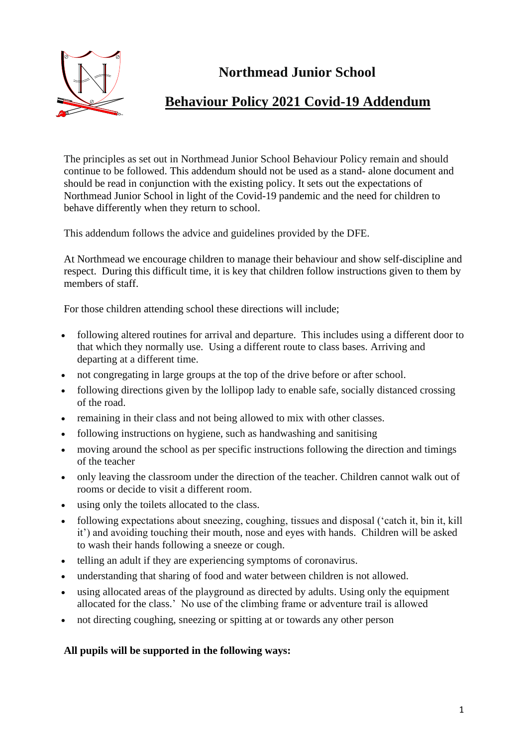

# **Northmead Junior School**

# **Behaviour Policy 2021 Covid-19 Addendum**

The principles as set out in Northmead Junior School Behaviour Policy remain and should continue to be followed. This addendum should not be used as a stand- alone document and should be read in conjunction with the existing policy. It sets out the expectations of Northmead Junior School in light of the Covid-19 pandemic and the need for children to behave differently when they return to school.

This addendum follows the advice and guidelines provided by the DFE.

At Northmead we encourage children to manage their behaviour and show self-discipline and respect. During this difficult time, it is key that children follow instructions given to them by members of staff.

For those children attending school these directions will include;

- following altered routines for arrival and departure. This includes using a different door to that which they normally use. Using a different route to class bases. Arriving and departing at a different time.
- not congregating in large groups at the top of the drive before or after school.
- following directions given by the lollipop lady to enable safe, socially distanced crossing of the road.
- remaining in their class and not being allowed to mix with other classes.
- following instructions on hygiene, such as handwashing and sanitising
- moving around the school as per specific instructions following the direction and timings of the teacher
- only leaving the classroom under the direction of the teacher. Children cannot walk out of rooms or decide to visit a different room.
- using only the toilets allocated to the class.
- following expectations about sneezing, coughing, tissues and disposal ('catch it, bin it, kill it') and avoiding touching their mouth, nose and eyes with hands. Children will be asked to wash their hands following a sneeze or cough.
- telling an adult if they are experiencing symptoms of coronavirus.
- understanding that sharing of food and water between children is not allowed.
- using allocated areas of the playground as directed by adults. Using only the equipment allocated for the class.' No use of the climbing frame or adventure trail is allowed
- not directing coughing, sneezing or spitting at or towards any other person

### **All pupils will be supported in the following ways:**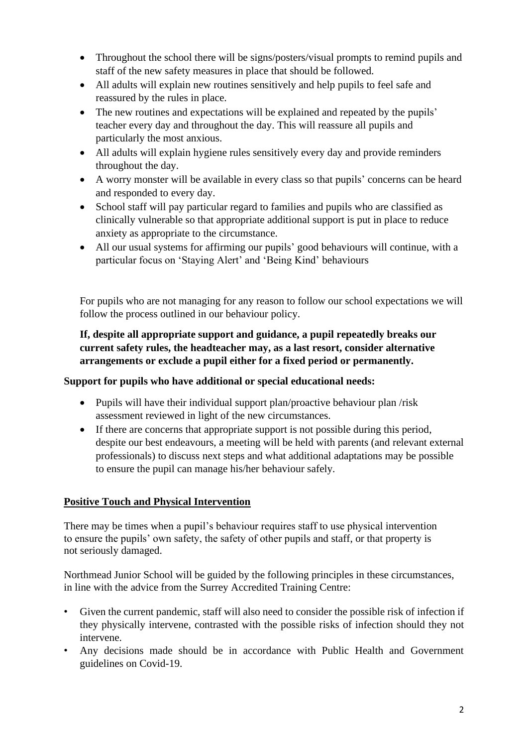- Throughout the school there will be signs/posters/visual prompts to remind pupils and staff of the new safety measures in place that should be followed.
- All adults will explain new routines sensitively and help pupils to feel safe and reassured by the rules in place.
- The new routines and expectations will be explained and repeated by the pupils' teacher every day and throughout the day. This will reassure all pupils and particularly the most anxious.
- All adults will explain hygiene rules sensitively every day and provide reminders throughout the day.
- A worry monster will be available in every class so that pupils' concerns can be heard and responded to every day.
- School staff will pay particular regard to families and pupils who are classified as clinically vulnerable so that appropriate additional support is put in place to reduce anxiety as appropriate to the circumstance.
- All our usual systems for affirming our pupils' good behaviours will continue, with a particular focus on 'Staying Alert' and 'Being Kind' behaviours

For pupils who are not managing for any reason to follow our school expectations we will follow the process outlined in our behaviour policy.

**If, despite all appropriate support and guidance, a pupil repeatedly breaks our current safety rules, the headteacher may, as a last resort, consider alternative arrangements or exclude a pupil either for a fixed period or permanently.**

## **Support for pupils who have additional or special educational needs:**

- Pupils will have their individual support plan/proactive behaviour plan/risk assessment reviewed in light of the new circumstances.
- If there are concerns that appropriate support is not possible during this period, despite our best endeavours, a meeting will be held with parents (and relevant external professionals) to discuss next steps and what additional adaptations may be possible to ensure the pupil can manage his/her behaviour safely.

## **Positive Touch and Physical Intervention**

There may be times when a pupil's behaviour requires staff to use physical intervention to ensure the pupils' own safety, the safety of other pupils and staff, or that property is not seriously damaged.

Northmead Junior School will be guided by the following principles in these circumstances, in line with the advice from the Surrey Accredited Training Centre:

- Given the current pandemic, staff will also need to consider the possible risk of infection if they physically intervene, contrasted with the possible risks of infection should they not intervene.
- Any decisions made should be in accordance with Public Health and Government guidelines on Covid-19.